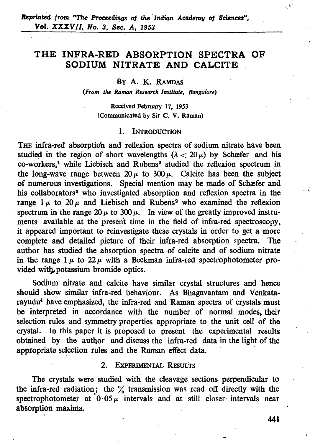# **THE INFRA-RED ABSORPTION SPECTRA OF SODIUM NITRATE AND CALCITE**

## BY A. K. RAMDAS

*(From the Raman Research Institute, Bangalore)* 

**Received February 17, 1953 (Communicated by Sir C. V. Raman)** 

#### $\mathbf{1}$ . **INTRODUCTION**

THE infra-red absorption and reflexion spectra of sodium nitrate have been studied in the region of short wavelengths  $(\lambda < 20 \,\mu)$  by Schæfer and his co-workers,<sup>1</sup> while Liebisch and Rubens<sup>2</sup> studied the reflexion spectrum in the long-wave range between  $20 \mu$  to  $300 \mu$ . Calcite has been the subject of numerous investigations. Special mention may be made of Schsfer and his collaborators<sup>3</sup> who investigated absorption and reflexion spectra in the range  $1 \mu$  to  $20 \mu$  and Liebisch and Rubens<sup>2</sup> who examined the reflexion spectrum in the range  $20 \mu$  to  $300 \mu$ . In view of the greatly improved instruments available at the present time in the field of infra-red spectroscopy, it appeared important to feinvestigate these crystals in order to get a more complete and detailed picture of their infra-red absorption spectra. The author has studied the absorption spectra of calcite and of sodium nitrate in the range  $1 \mu$  to  $22 \mu$  with a Beckman infra-red spectrophotometer provided with potassium bromide optics.

Sodium nitrate and calcite have similar crystal structures and hence should show similar infra-red behaviour. As Bhagavantam and Venkatarayudu<sup>4</sup> have emphasized, the infra-red and Raman spectra of crystals must be interpreted in accordance with the number of normal modes, their selection rules and symmetry properties appropriate to the unit cell of the crystal. In this paper it is proposed to present the experimental results obtained by the author and discuss the infra-red data in the light of the appropriate selection rules and the Raman effect data.

### **EXPERIMENTAL RESULTS**  $2.$

The crystals were studied with the cleavage sections perpendicular to the infra-red radiation; the  $\frac{6}{10}$  transmission was read off directly with the spectrophotometer at  $0.05~\mu$  intervals and at still closer intervals near absorption maxima.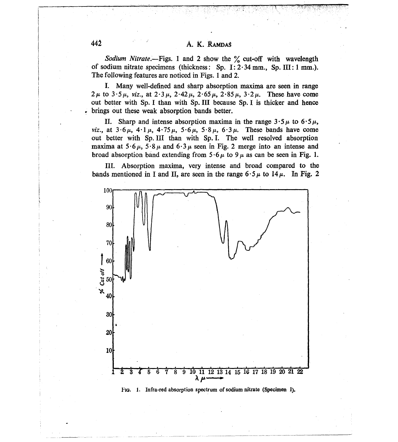Sodium Nitrate.-Figs. 1 and 2 show the % cut-off with wavelength of sodium nitrate specimens (thickness: Sp. I:  $2.34$  mm., Sp. III: 1 mm.). The following features are noticed in Figs. 1 and 2.

I. Many well-defined and sharp absorption maxima are seen in range  $2 \mu$  to  $3.5 \mu$ , viz., at  $2.3 \mu$ ,  $2.42 \mu$ ,  $2.65 \mu$ ,  $2.85 \mu$ ,  $3.2 \mu$ . These have come out better with Sp. I than with Sp. III because Sp. I is thicker and hence brings out these weak absorption bands better.

Sharp and intense absorption maxima in the range  $3.5 \mu$  to  $6.5 \mu$ , П. *viz.*, at  $3.6 \mu$ ,  $4.1 \mu$ ,  $4.75 \mu$ ,  $5.6 \mu$ ,  $5.8 \mu$ ,  $6.3 \mu$ . These bands have come out better with Sp. III than with Sp. I. The well resolved absorption maxima at  $5.6 \mu$ ,  $5.8 \mu$  and  $6.3 \mu$  seen in Fig. 2 merge into an intense and broad absorption band extending from  $5.6 \mu$  to  $9 \mu$  as can be seen in Fig. 1.

III. Absorption maxima, very intense and broad compared to the bands mentioned in I and II, are seen in the range  $6.5 \mu$  to  $14 \mu$ . In Fig. 2



Fig. 1. Infra-red absorption spectrum of sodium nitrate (Specimen I).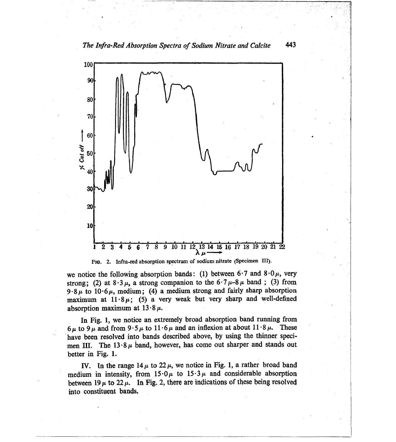

FIG. 2. Infra-red absorption spectrum of sodium nitrate (Specimen III).

we notice the following absorption bands: (1) between  $6.7$  and  $8.0 \mu$ , very strong; (2) at  $8.3 \mu$ , a strong companion to the  $6.7 \mu - 8 \mu$  band; (3) from  $9.8 \mu$  to  $10.6 \mu$ , medium; (4) a medium strong and fairly sharp absorption maximum at  $11.8 \mu$ ; (5) a very weak but very sharp and well-defined absorption maximum at  $13.8 \mu$ .

In Fig. 1, we notice an extremely broad absorption band running from  $6\mu$  to  $9\mu$  and from  $9.5\mu$  to  $11.6\mu$  and an inflexion at about  $11.8\mu$ . These have been resolved into bands described above, by using the thinner specimen III. The  $13.8 \mu$  band, however, has come out sharper and stands out better in Fig. 1.

IV. In the range  $14 \mu$  to  $22 \mu$ , we notice in Fig. 1, a rather broad band medium in intensity, from  $15.0 \mu$  to  $15.3 \mu$  and considerable absorption between 19  $\mu$  to 22  $\mu$ . In Fig. 2, there are indications of these being resolved into constituent bands.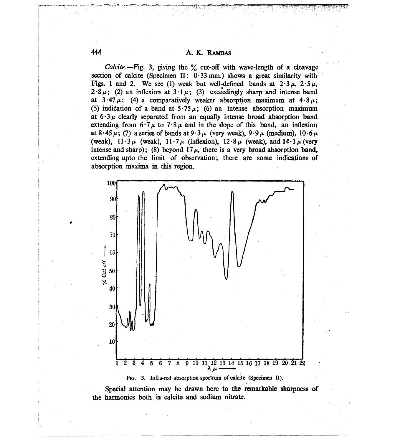Calcite.-Fig. 3, giving the % cut-off with wave-length of a cleavage section of calcite (Specimen II:  $0.33$  mm.) shows a great similarity with Figs. 1 and 2. We see (1) weak but well-defined bands at  $2.3 \mu$ ,  $2.5 \mu$ ,  $2.8 \mu$ ; (2) an inflexion at  $3.1 \mu$ ; (3) exceedingly sharp and intense band at  $3.47 \mu$ ; (4) a comparatively weaker absorption maximum at  $4.8 \mu$ ; (5) indication of a band at  $5.75 \mu$ ; (6) an intense absorption maximum at  $6.3 \mu$  clearly separated from an equally intense broad absorption band extending from  $6.7 \mu$  to  $7.8 \mu$  and in the slope of this band, an inflexion at  $8.45 \mu$ ; (7) a series of bands at  $9.3 \mu$  (very weak),  $9.9 \mu$  (medium),  $10.6 \mu$ (weak),  $11.3 \mu$  (weak),  $11.7 \mu$  (inflexion),  $12.8 \mu$  (weak), and  $14.1 \mu$  (very intense and sharp); (8) beyond  $17 \mu$ , there is a very broad absorption band, extending upto the limit of observation; there are some indications of absorption maxima in this region.



FIG. 3. Infra-red absorption spectrum of calcite (Specimen II).

Special attention may be drawn here to the remarkable sharpness of the harmonics both in calcite and sodium nitrate.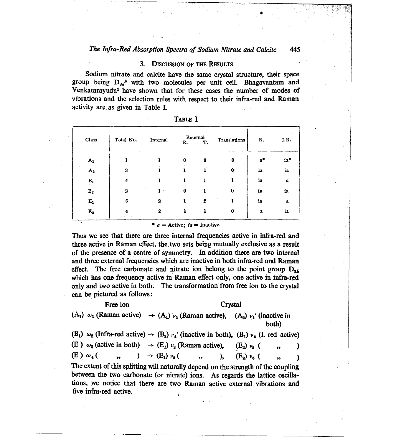#### $3.$ **DISCUSSION OF THE RESULTS**

Sodium nitrate and calcite have the same crystal structure, their space group being  $D_{3d}$ <sup>6</sup> with two molecules per unit cell. Bhagavantam and Venkataravudu<sup>4</sup> have shown that for these cases the number of modes of vibrations and the selection rules with respect to their infra-red and Raman activity are as given in Table I.

| Class<br>٠       | Total No.    | Internal     | R.       | External<br>т.   | Translations | R.    | I.R.        |
|------------------|--------------|--------------|----------|------------------|--------------|-------|-------------|
| $A_1$            |              |              | $\bf{0}$ | $\mathbf 0$      | 0            | $a^*$ | ia*         |
| ${\bf A_2}$      | 3            |              |          |                  | $\bf{0}$     | ia    | ia          |
| $\mathbf{B_{1}}$ | $\bf{4}$     |              |          |                  |              | ia    | $\mathbf a$ |
| $\mathbf{B_{2}}$ | $\mathbf{2}$ | $\mathbf{I}$ | $\bf{0}$ |                  | $\bf{0}$     | ia    | ia          |
| $\mathbf{E_{1}}$ | 6            | $\mathbf{2}$ |          | $\boldsymbol{2}$ |              | ia    | $\mathbf a$ |
| $\mathbf{E_{2}}$ |              | 2            |          |                  | 0            | a     | ia          |

| в<br>.B<br>I, |  |
|---------------|--|
| н             |  |

\*  $a =$  Active;  $ia =$  Inactive

Thus we see that there are three internal frequencies active in infra-red and three active in Raman effect, the two sets being mutually exclusive as a result of the presence of a centre of symmetry. In addition there are two internal and three external frequencies which are inactive in both infra-red and Raman effect. The free carbonate and nitrate ion belong to the point group  $D_{34}$ which has one frequency active in Raman effect only, one active in infra-red only and two active in both. The transformation from free ion to the crystal can be pictured as follows:

Free ion Crystal  $(A_1)$   $\omega_1$  (Raman active)  $\rightarrow (A_1) \nu_1$  (Raman active),  $(A_2) \nu_1$  (inactive in both)

|  |                        |  |  | $(B_1)$ $\omega_2$ (Infra-red active) $\rightarrow$ $(B_2)$ $\nu_4$ ' (inactive in both), $(B_1)$ $\nu_4$ (I. red active) |  |  |
|--|------------------------|--|--|---------------------------------------------------------------------------------------------------------------------------|--|--|
|  |                        |  |  | (E) $\omega_3$ (active in both) $\rightarrow$ (E <sub>1</sub> ) $\nu_2$ (Raman active), (E <sub>2</sub> ) $\nu_5$ (, , )  |  |  |
|  |                        |  |  | (E) $\omega_4$ ( , ) $\rightarrow$ (E <sub>1</sub> ) $\nu_3$ ( , ), (E <sub>2</sub> ) $\nu_6$ ( , )                       |  |  |
|  |                        |  |  | The extent of this splitting will naturally depend on the strength of the coupling                                        |  |  |
|  |                        |  |  | between the two carbonate (or nitrate) ions. As regards the lattice oscilla-                                              |  |  |
|  |                        |  |  | tions, we notice that there are two Raman active external vibrations and                                                  |  |  |
|  | five infra-red active. |  |  |                                                                                                                           |  |  |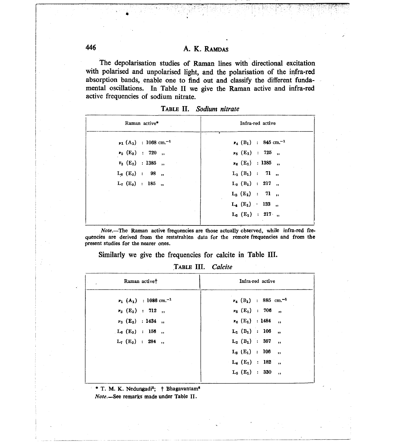The depolarisation studies of Raman lines with directional excitation with polarised and unpolarised light, and the polarisation of the infra-red absorption bands, enable one to find out and classify the different fundamental oscillations. In Table II we give the Raman active and infra-red active frequencies of sodium nitrate.

| Raman active*                                      | Infra-red active                                  |
|----------------------------------------------------|---------------------------------------------------|
| $\nu_1$ (A <sub>1</sub> ) : 1068 cm. <sup>-1</sup> | $\nu_4$ (B <sub>1</sub> ) : 845 cm. <sup>-1</sup> |
| $v_2$ (E <sub>2</sub> ) : 720 ,                    | $v_5$ (E <sub>1</sub> ) : 725 ,                   |
| $v_3$ (E <sub>2</sub> ) : 1385 ,                   | $v_6$ (E <sub>1</sub> ) : 1385 ,                  |
| $L_6$ (E <sub>2</sub> ) : 98 ,                     | $L_1$ (B <sub>1</sub> ) : 71 ,                    |
| $L_7(E_2)$ : 185,                                  | $L_2$ (B <sub>1</sub> ) : 217 ,                   |
|                                                    | $L_3(E_1)$ : 71,                                  |
|                                                    | $L_4$ (E <sub>1</sub> ) 133 ,                     |
|                                                    | $L_5(E_1)$ : 217,                                 |
|                                                    |                                                   |

| TABLE II.<br>Sodium nitrate |  |  |
|-----------------------------|--|--|
|-----------------------------|--|--|

Note.-The Raman active frequencies are those actually observed, while infra-red frequencies are derived from the reststrahlen data for the remote frequencies and from the present studies for the nearer ones.

Similarly we give the frequencies for calcite in Table III.

TABLE III. Calcite

| Infra-red active                                |  |  |
|-------------------------------------------------|--|--|
| $v_4$ (B <sub>1</sub> ) : 885 cm. <sup>-1</sup> |  |  |
| $\nu_5$ (E <sub>1</sub> ) : 706 ,               |  |  |
| $v_6$ (E <sub>1</sub> ) : 1484 ,                |  |  |
| $L_1$ (B <sub>1</sub> ) : 106 ,                 |  |  |
| $L_2$ (B <sub>1</sub> ) : 357,                  |  |  |
| $L_3$ (E <sub>1</sub> ) : 106 ,                 |  |  |
| $L_4$ (E <sub>1</sub> ) : 182 ,                 |  |  |
| $L_5$ (E <sub>1</sub> ) : 330 ,                 |  |  |
|                                                 |  |  |

\* T. M. K. Nedungadi<sup>5</sup>; † Bhagavantam<sup>6</sup> Note.-See remarks made under Table II.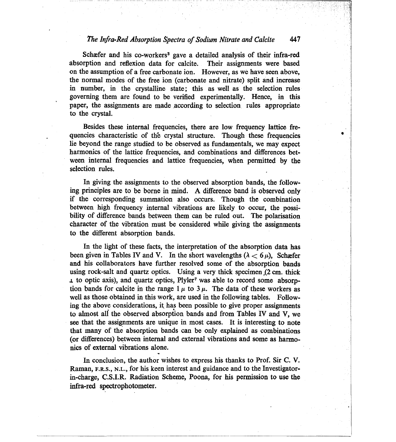### The Infra-Red Absorption Spectra of Sodium Nitrate and Calcite 447

Schæfer and his co-workers<sup>3</sup> gave a detailed analysis of their infra-red absorption and reflexion data for calcite. Their assignments were based on the assumption of a free carbonate ion. However, as we have seen above. the normal modes of the free ion (carbonate and nitrate) split and increase in number, in the crystalline state; this as well as the selection rules governing them are found to be verified experimentally. Hence, in this paper, the assignments are made according to selection rules appropriate to the crystal.

Besides these internal frequencies, there are low frequency lattice frequencies characteristic of the crystal structure. Though these frequencies lie beyond the range studied to be observed as fundamentals, we may expect harmonics of the lattice frequencies, and combinations and differences between internal frequencies and lattice frequencies, when permitted by the selection rules.

In giving the assignments to the observed absorption bands, the following principles are to be borne in mind. A difference band is observed only if the corresponding summation also occurs. Though the combination between high frequency internal vibrations are likely to occur, the possibility of difference bands between them can be ruled out. The polarisation character of the vibration must be considered while giving the assignments to the different absorption bands.

In the light of these facts, the interpretation of the absorption data has been given in Tables IV and V. In the short wavelengths  $(\lambda < 6 \mu)$ . Schæfer and his collaborators have further resolved some of the absorption bands using rock-salt and quartz optics. Using a very thick specimen (2 cm. thick 1 to optic axis), and quartz optics, Plyler<sup>7</sup> was able to record some absorption bands for calcite in the range  $1 \mu$  to  $3 \mu$ . The data of these workers as well as those obtained in this work, are used in the following tables. Following the above considerations, it has been possible to give proper assignments to almost all the observed absorption bands and from Tables IV and V, we see that the assignments are unique in most cases. It is interesting to note that many of the absorption bands can be only explained as combinations (or differences) between internal and external vibrations and some as harmonics of external vibrations alone.

In conclusion, the author wishes to express his thanks to Prof. Sir C. V. Raman, F.R.S., N.L., for his keen interest and guidance and to the Investigatorin-charge, C.S.I.R. Radiation Scheme, Poona, for his permission to use the infra-red spectrophotometer.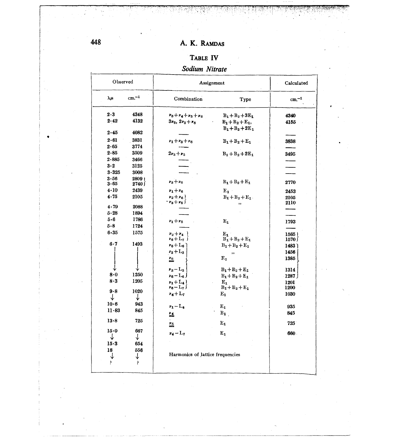# TABLE IV

# Sodium Nitrate

| Observed         |                  | Assignment                         | Calculated                                |              |
|------------------|------------------|------------------------------------|-------------------------------------------|--------------|
| λμ               | $cm.-1$          | Combination                        | Type                                      | $cm^{-1}$    |
| $2 - 3$          | 4348             | $\nu_3 + \nu_4 + \nu_5 + \nu_6$    | $B_1 + B_2 + 3E_1$                        | 4340         |
| 2.42             | 4132             | $3\nu_6, 2\nu_3 + \nu_6$           | $B_1 + B_2 + E_1$ ,<br>$B_1 + B_2 + 2E_1$ | 4155         |
| 2.45             | 4082             |                                    |                                           |              |
| 2.61             | 3831             | $v_1 + v_3 + v_6$                  | $B_1 + B_2 + E_1$                         | 3838         |
| 2.65             | 3774             |                                    |                                           |              |
| 2.85             | 3509             | $2v_3 + v_5$                       | $B_1 + B_2 + 2E_1$                        | 3495         |
| 2.885            | 3466             |                                    |                                           |              |
| $3-2$            | 3125             |                                    |                                           |              |
| $3 - 325$        | 3008             |                                    |                                           |              |
| $3 - 56$<br>3.65 | 2809  <br>2740 J | $v_3 + v_6$                        | $B_1 + B_2 + E_1$                         | 2770         |
| 4.10             | 2439             | $v_1 + v_6$                        | $E_1$ .                                   | 2453         |
| 4.75             | 2105             | $v_2 + v_6$<br>$\cdot v_3 + v_5$ ) | $B_1+B_2+E_1$ .<br>,,                     | 2105<br>2110 |
| 4.79             | 2088             |                                    |                                           |              |
| $5 - 28$         | 1894             |                                    |                                           |              |
| 5.6              | 1786             | $v_1 + v_5$                        | $\mathbf{E}_1$                            | 1793         |
| 5.8              | 1724             |                                    |                                           |              |
| $6 - 35$         | 1575             | $v_2 + v_4$                        | $\mathbf{E}_1$                            | 1565         |
|                  |                  | $v_6 + L_7$ )                      | $B_1+B_2+E_1$                             | 1570∫        |
| 6.7              | 1493             | $v_6 + L_6$                        | $B_1 + B_2 + E_1$                         | 1483         |
|                  |                  | $v_3 + L_3$                        | $^{\ast}$                                 | 1456         |
|                  |                  | $\stackrel{\nu_{6}}{=}$            | ${\bf E_1}$                               | 1385         |
|                  |                  | $v_3 - L_3$                        | $B_1 + B_2 + E_1$                         | 1314         |
| 8.0              | 1250             | $v_6 - L_6$ )                      | $B_1 + B_2 + E_1$                         | $-1287$      |
| 8.3              | 1205             | $v_1 + L_4$                        | $\mathbf{E}_1$                            | 1201         |
| $9 - 8$          | 1020             | $v_6 - L_7$                        | $B_1 + B_2 + E_1$                         | 1200         |
| ↓                | ↓                | $v_4 + L_7$                        | $\mathbf{E_1}$                            | 1030         |
| $10-6$           | 943              |                                    |                                           |              |
| 11.83            | 845              | $v_1 - L_4$                        | $\mathbf{E}_1$                            | 935          |
|                  |                  | 丝                                  | $B_1$                                     | 845          |
| 13.8             | 725              | 些                                  | $\mathbf{E_1}$                            | 725          |
| 15.0             | 667              | $v_4 - L_7$                        | $E_{1}$                                   | 660.         |
| ↓                | ↓                |                                    |                                           |              |
| 15.3             | 654              |                                    |                                           |              |
| 18               | 556              | Harmonics of lattice frequencies   |                                           |              |
| ↓                | ↓                |                                    |                                           |              |
| P.               | ę.               |                                    |                                           |              |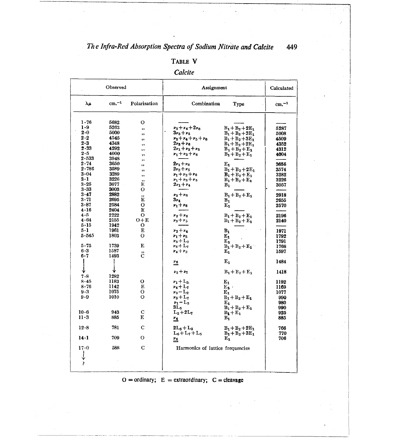449

# TABLE V

# Calcite

| Observed      |          |                | Assignment                                          | Calculated                 |           |
|---------------|----------|----------------|-----------------------------------------------------|----------------------------|-----------|
| $\lambda \mu$ | $cm. -1$ | Polarisation   | Combination                                         | Type                       | $cm^{-1}$ |
| 1 - 76        | 5682     | о              |                                                     |                            |           |
| 1·9           | 5263     |                | $\nu_3 + \nu_4 + 2\nu_6$                            |                            |           |
| 2.0           | 5000     | ,,             |                                                     | $B_1 + B_2 + 2E_1$         | 5287      |
| $2\cdot 2$    | 4545     | ,,             | $3\nu_3 + \nu_5$                                    | $B_1 + B_2 + 3E_1$         | 5008      |
| 2.3           | 4348     | ,,             | $\nu_3 + \nu_4 + \nu_5 + \nu_6$<br>$2\nu_3 + \nu_6$ | $B_1 + B_2 + 3E_1$         | 4509      |
| $2 - 33$      | 4292     | ,,             | $2\nu_1 + \nu_3 + \nu_5$                            | $B_1 + B_2 + 2E_1$         | 4352      |
| $2 \cdot 5$   | 4000     | ,,             | $v_1 + v_3 + v_6$                                   | $B_1 + B_2 + E_1$          | 4312      |
| 2.533         | 3948     | ,,             |                                                     | $B_1 + B_2 + E_1$          | 4004      |
| 2.74          | 3650     | ,,             | $2v_1 + v_6$                                        | $E_{1}$                    | 3656      |
| $2 - 786$     | 3589     | ,,             | $2\nu_3 + \nu_5$                                    | $B_1 + B_2 + 2E_1$         | 3574      |
| 3.04          | 3289     | ,              | $v_1 + v_2 + v_6$                                   |                            | 3282      |
| $3 \cdot 1$   | 3226     | ,,             | $\nu_1 + \nu_3 + \nu_5$                             | $B_1 + B_2 + E_1$          | 3226      |
| $3 - 25$      | 3077     | ,,<br>Е        | $2\nu_1 + \nu_4$                                    | $B_1 + B_2 + E_1$<br>$B_1$ | 3057      |
| 3.33          | 3003     | о              |                                                     |                            |           |
| $3 - 47$      | 2882     |                | $\nu_3 + \nu_6$                                     | $B_1 + B_2 + E_1$          | 2918      |
| 3-71          | 2695     | ,,<br>E        | 3r4                                                 | $B_1$                      | 2655      |
| $3 - 87$      | 2584     | о              | $v_1 + v_6$                                         | $E_1$                      | 2570      |
| 4.16          | 2404     | E              |                                                     |                            |           |
| $4 - 5$       | 2222     | о              | $v_2 + v_6$                                         | $B_1 + B_2 + E_1$          | 2196      |
| 4.64          | 2155     | $O+E$          | $\nu_3 + \nu_5$                                     | $B_1 + B_2 + E_1$          | 2140      |
| 5-15          | 1942     | о              |                                                     |                            |           |
| 5.1           | 1961     | Е              | $v_1 + v_4$                                         | $\mathbf{B}_1$             | 1971      |
| 5.545         | 1803     | о              | $v_1 + v_5$                                         | Ε,                         | 1792      |
|               |          |                | $v_3 + L_2$                                         | Е,                         | 1791      |
| $5 - 75$      | 1739     | Е              | $v_6 + L_7$                                         | $B_1 + B_2 + E_1$          | 1768      |
| 6 - 3         | 1587     |                | $\n  \  \, \bm{v_4} + \bm{v_2}$                     | Е.                         | 1597      |
| 6.7           | 1493     | $\ddot{\rm c}$ |                                                     |                            |           |
|               |          |                | $\frac{\nu_6}{\nu_6}$                               | ${\bf E_1}$                | 1484      |
|               |          |                |                                                     |                            |           |
|               |          |                | $v_2 + v_5$                                         | $B_1 + B_2 + E_1$          | 1418      |
| 7.8           | 1282     |                |                                                     |                            |           |
| 8.45          | 1183     | о              | $v_1 + L_3$                                         | $E_{1}$                    | 1192      |
| $8 - 76$      | 1142     | E              | $v_4 + L_7$                                         | $E_{\mathbf{h}}$ .         | 1169      |
| $9 - 3$       | 1075     | о              | $v_3 - L_2$                                         | $E_{1}$                    | 1077      |
| 9.9           | 1010     | О              | $v_5 + L_7$                                         | $B_1 + B_2 + E_1$          | 990       |
|               |          |                | $\nu_1 - L_3$                                       | E <sub>1</sub>             | 980       |
|               |          |                | $3L_5$                                              | $B_1 + B_2 + E_1$          | 990       |
| $10-6$        | 943      | $\overline{C}$ | $L_2 + 2L_7$                                        | $B_1 + E_1$                | 925       |
| 11-3          | 885      | Е              | 丝                                                   | $B_1$                      | 885       |
| 12.8          | 781      | $\mathbf C$    | $2L_5 + L_3$                                        | $B_1 + B_2 + 2E_1$         | 766       |
|               |          |                | $L_6 + L_7 + L_5$                                   | $B_1 + B_2 + 3E_1$         | 770       |
| 14·1          | 709      | О              | <u>ns</u>                                           | $E_{1}$                    | 706       |
| 17.0          | 588      | С              | Harmonics of lattice frequencies                    |                            |           |
|               |          |                |                                                     |                            |           |
|               |          |                |                                                     |                            |           |
|               |          |                |                                                     |                            |           |
|               |          |                |                                                     |                            |           |